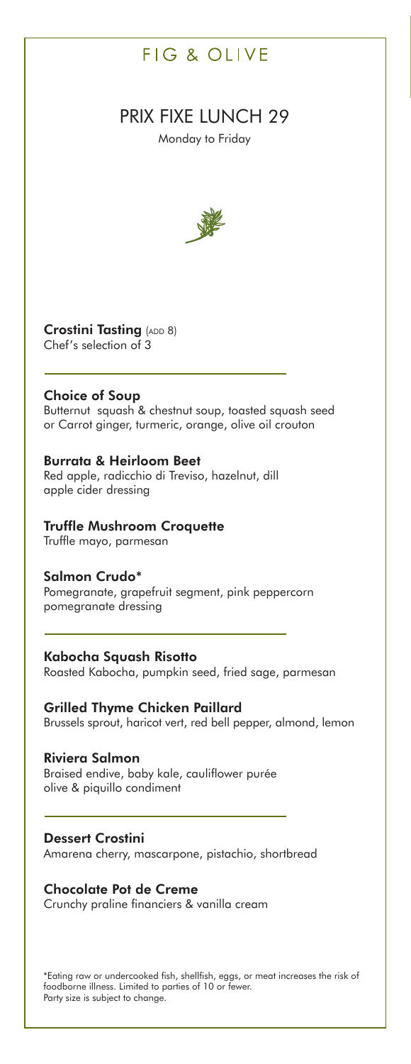# FIG & OLIVE

# PRIX FIXE LUNCH 29

Monday to Friday



**Crostini Tasting** (ADD 8) Chef's selection of 3

# **Choice of Soup**

Butternut squash & chestnut soup, toasted squash seed or Carrot ginger, turmeric, orange, olive oil crouton

## **Burrata & Heirloom Beet**

Red apple, radicchio di Treviso, hazelnut, dill apple cider dressing

# **Truffle Mushroom Croquette**

Truffle mayo, parmesan

## **Salmon Crudo\***

Pomegranate, grapefruit segment, pink peppercorn pomegranate dressing

## **Kabocha Squash Risotto**

Roasted Kabocha, pumpkin seed, fried sage, parmesan

# **Grilled Thyme Chicken Paillard**

Brussels sprout, haricot vert, red bell pepper, almond, lemon

# **Riviera Salmon**

Braised endive, baby kale, cauliflower purée olive & piquillo condiment

## **Dessert Crostini**

Amarena cherry, mascarpone, pistachio, shortbread

# **Chocolate Pot de Creme**

Crunchy praline financiers & vanilla cream

\*Eating raw or undercooked fish, shellfish, eggs, or meat increases the risk of foodborne illness. Limited to parties of 10 or fewer. Party size is subject to change.